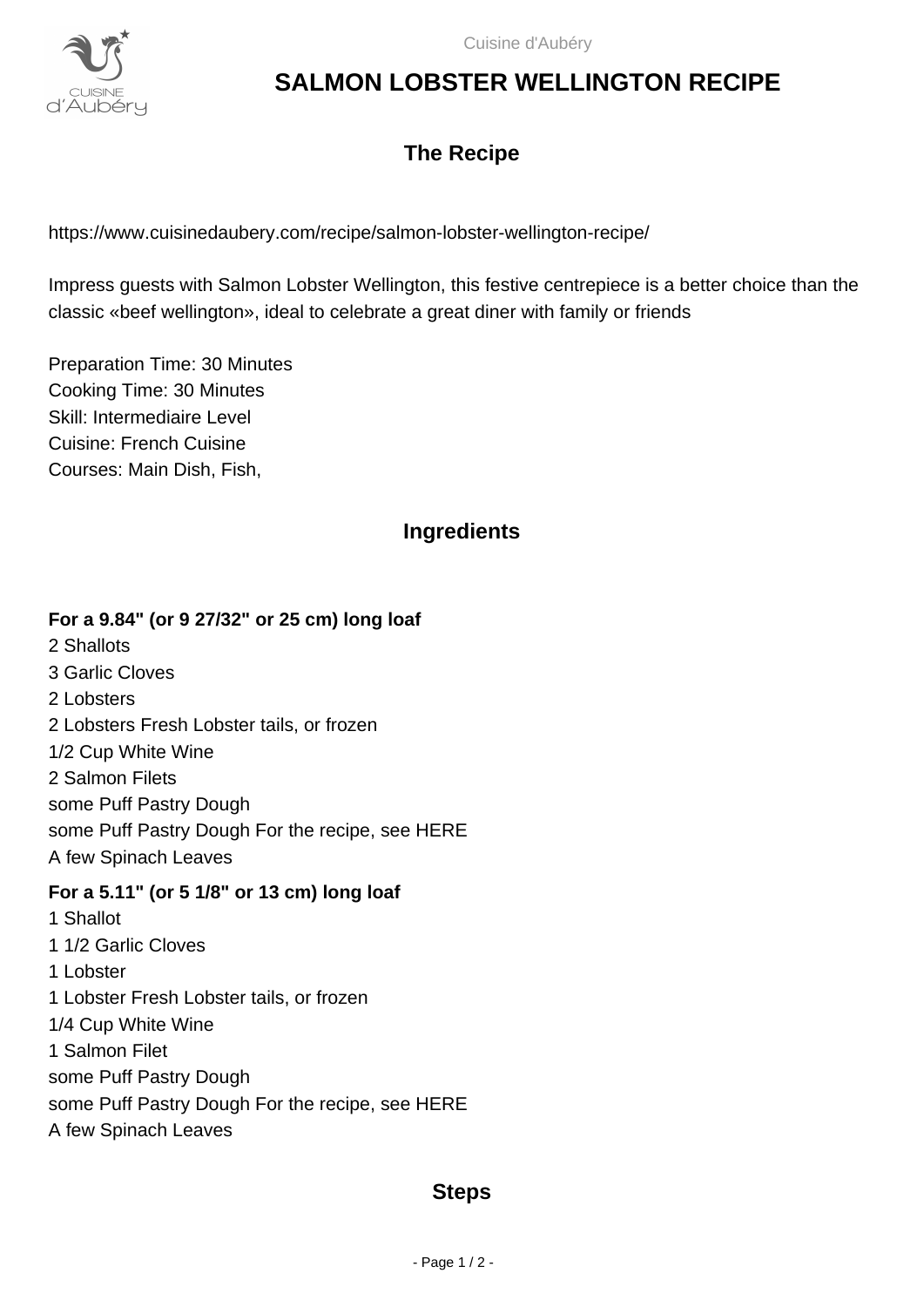

# **SALMON LOBSTER WELLINGTON RECIPE**

# **The Recipe**

https://www.cuisinedaubery.com/recipe/salmon-lobster-wellington-recipe/

Impress guests with Salmon Lobster Wellington, this festive centrepiece is a better choice than the classic «beef wellington», ideal to celebrate a great diner with family or friends

Preparation Time: 30 Minutes Cooking Time: 30 Minutes Skill: Intermediaire Level Cuisine: French Cuisine Courses: Main Dish, Fish,

## **Ingredients**

#### **For a 9.84" (or 9 27/32" or 25 cm) long loaf**

2 Shallots 3 Garlic Cloves 2 Lobsters 2 Lobsters Fresh Lobster tails, or frozen 1/2 Cup White Wine 2 Salmon Filets some Puff Pastry Dough some Puff Pastry Dough For the recipe, see HERE A few Spinach Leaves

#### **For a 5.11" (or 5 1/8" or 13 cm) long loaf**

1 Shallot 1 1/2 Garlic Cloves 1 Lobster 1 Lobster Fresh Lobster tails, or frozen 1/4 Cup White Wine 1 Salmon Filet some Puff Pastry Dough some Puff Pastry Dough For the recipe, see HERE A few Spinach Leaves

### **Steps**